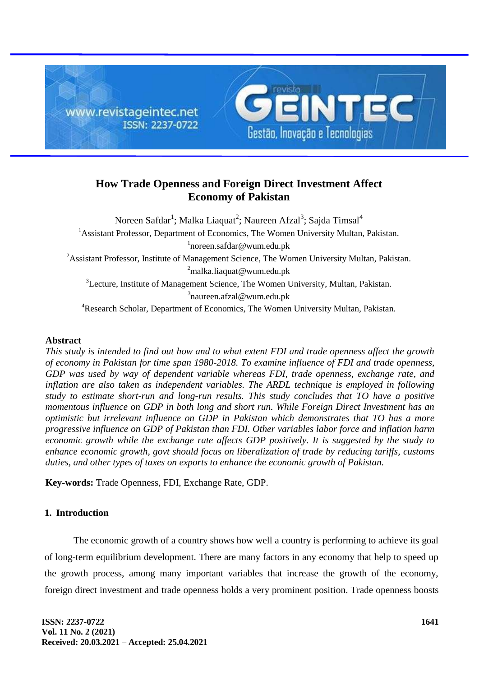

# **How Trade Openness and Foreign Direct Investment Affect Economy of Pakistan**

Noreen Safdar<sup>1</sup>; Malka Liaquat<sup>2</sup>; Naureen Afzal<sup>3</sup>; Sajda Timsal<sup>4</sup> <sup>1</sup> Assistant Professor, Department of Economics, The Women University Multan, Pakistan. 1 noreen.safdar@wum.edu.pk <sup>2</sup>Assistant Professor, Institute of Management Science, The Women University Multan, Pakistan.  $2$ malka.liaquat@wum.edu.pk  $3$ Lecture, Institute of Management Science, The Women University, Multan, Pakistan. <sup>3</sup>naureen.afzal@wum.edu.pk

<sup>4</sup>Research Scholar, Department of Economics, The Women University Multan, Pakistan.

# **Abstract**

*This study is intended to find out how and to what extent FDI and trade openness affect the growth of economy in Pakistan for time span 1980-2018. To examine influence of FDI and trade openness, GDP was used by way of dependent variable whereas FDI, trade openness, exchange rate, and inflation are also taken as independent variables. The ARDL technique is employed in following study to estimate short-run and long-run results. This study concludes that TO have a positive momentous influence on GDP in both long and short run. While Foreign Direct Investment has an optimistic but irrelevant influence on GDP in Pakistan which demonstrates that TO has a more progressive influence on GDP of Pakistan than FDI. Other variables labor force and inflation harm economic growth while the exchange rate affects GDP positively. It is suggested by the study to enhance economic growth, govt should focus on liberalization of trade by reducing tariffs, customs duties, and other types of taxes on exports to enhance the economic growth of Pakistan.*

**Key-words:** Trade Openness, FDI, Exchange Rate, GDP.

# **1. Introduction**

The economic growth of a country shows how well a country is performing to achieve its goal of long-term equilibrium development. There are many factors in any economy that help to speed up the growth process, among many important variables that increase the growth of the economy, foreign direct investment and trade openness holds a very prominent position. Trade openness boosts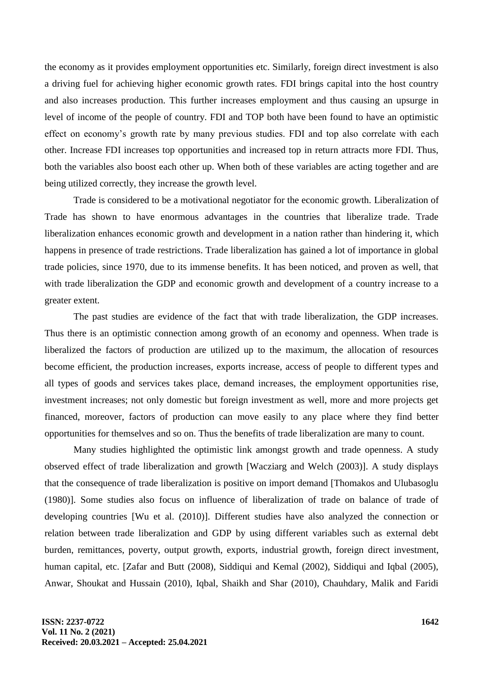the economy as it provides employment opportunities etc. Similarly, foreign direct investment is also a driving fuel for achieving higher economic growth rates. FDI brings capital into the host country and also increases production. This further increases employment and thus causing an upsurge in level of income of the people of country. FDI and TOP both have been found to have an optimistic effect on economy's growth rate by many previous studies. FDI and top also correlate with each other. Increase FDI increases top opportunities and increased top in return attracts more FDI. Thus, both the variables also boost each other up. When both of these variables are acting together and are being utilized correctly, they increase the growth level.

Trade is considered to be a motivational negotiator for the economic growth. Liberalization of Trade has shown to have enormous advantages in the countries that liberalize trade. Trade liberalization enhances economic growth and development in a nation rather than hindering it, which happens in presence of trade restrictions. Trade liberalization has gained a lot of importance in global trade policies, since 1970, due to its immense benefits. It has been noticed, and proven as well, that with trade liberalization the GDP and economic growth and development of a country increase to a greater extent.

The past studies are evidence of the fact that with trade liberalization, the GDP increases. Thus there is an optimistic connection among growth of an economy and openness. When trade is liberalized the factors of production are utilized up to the maximum, the allocation of resources become efficient, the production increases, exports increase, access of people to different types and all types of goods and services takes place, demand increases, the employment opportunities rise, investment increases; not only domestic but foreign investment as well, more and more projects get financed, moreover, factors of production can move easily to any place where they find better opportunities for themselves and so on. Thus the benefits of trade liberalization are many to count.

Many studies highlighted the optimistic link amongst growth and trade openness. A study observed effect of trade liberalization and growth [Wacziarg and Welch (2003)]. A study displays that the consequence of trade liberalization is positive on import demand [Thomakos and Ulubasoglu (1980)]. Some studies also focus on influence of liberalization of trade on balance of trade of developing countries [Wu et al. (2010)]. Different studies have also analyzed the connection or relation between trade liberalization and GDP by using different variables such as external debt burden, remittances, poverty, output growth, exports, industrial growth, foreign direct investment, human capital, etc. [Zafar and Butt (2008), Siddiqui and Kemal (2002), Siddiqui and Iqbal (2005), Anwar, Shoukat and Hussain (2010), Iqbal, Shaikh and Shar (2010), Chauhdary, Malik and Faridi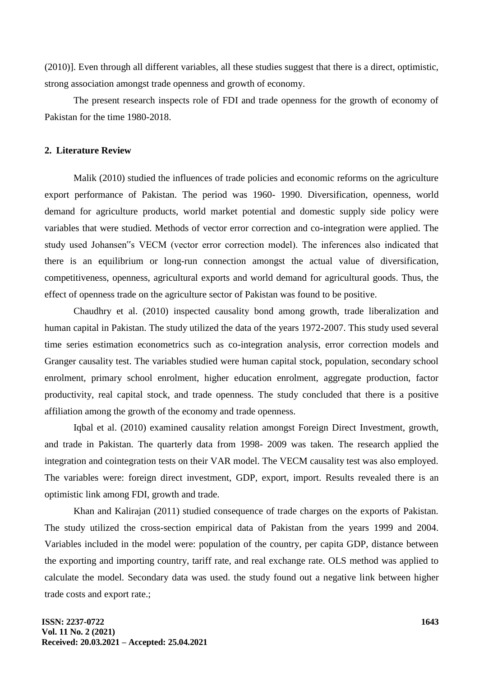(2010)]. Even through all different variables, all these studies suggest that there is a direct, optimistic, strong association amongst trade openness and growth of economy.

The present research inspects role of FDI and trade openness for the growth of economy of Pakistan for the time 1980-2018.

### **2. Literature Review**

Malik (2010) studied the influences of trade policies and economic reforms on the agriculture export performance of Pakistan. The period was 1960- 1990. Diversification, openness, world demand for agriculture products, world market potential and domestic supply side policy were variables that were studied. Methods of vector error correction and co-integration were applied. The study used Johansen"s VECM (vector error correction model). The inferences also indicated that there is an equilibrium or long-run connection amongst the actual value of diversification, competitiveness, openness, agricultural exports and world demand for agricultural goods. Thus, the effect of openness trade on the agriculture sector of Pakistan was found to be positive.

Chaudhry et al. (2010) inspected causality bond among growth, trade liberalization and human capital in Pakistan. The study utilized the data of the years 1972-2007. This study used several time series estimation econometrics such as co-integration analysis, error correction models and Granger causality test. The variables studied were human capital stock, population, secondary school enrolment, primary school enrolment, higher education enrolment, aggregate production, factor productivity, real capital stock, and trade openness. The study concluded that there is a positive affiliation among the growth of the economy and trade openness.

Iqbal et al. (2010) examined causality relation amongst Foreign Direct Investment, growth, and trade in Pakistan. The quarterly data from 1998- 2009 was taken. The research applied the integration and cointegration tests on their VAR model. The VECM causality test was also employed. The variables were: foreign direct investment, GDP, export, import. Results revealed there is an optimistic link among FDI, growth and trade.

Khan and Kalirajan (2011) studied consequence of trade charges on the exports of Pakistan. The study utilized the cross-section empirical data of Pakistan from the years 1999 and 2004. Variables included in the model were: population of the country, per capita GDP, distance between the exporting and importing country, tariff rate, and real exchange rate. OLS method was applied to calculate the model. Secondary data was used. the study found out a negative link between higher trade costs and export rate.;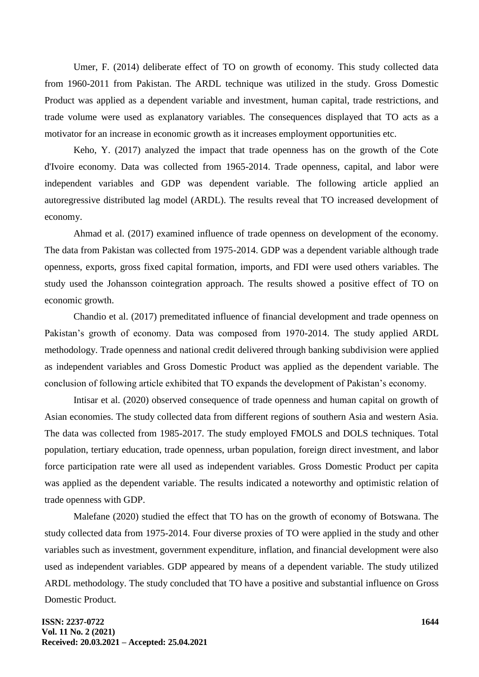Umer, F. (2014) deliberate effect of TO on growth of economy. This study collected data from 1960-2011 from Pakistan. The ARDL technique was utilized in the study. Gross Domestic Product was applied as a dependent variable and investment, human capital, trade restrictions, and trade volume were used as explanatory variables. The consequences displayed that TO acts as a motivator for an increase in economic growth as it increases employment opportunities etc.

Keho, Y. (2017) analyzed the impact that trade openness has on the growth of the Cote d'Ivoire economy. Data was collected from 1965-2014. Trade openness, capital, and labor were independent variables and GDP was dependent variable. The following article applied an autoregressive distributed lag model (ARDL). The results reveal that TO increased development of economy.

Ahmad et al. (2017) examined influence of trade openness on development of the economy. The data from Pakistan was collected from 1975-2014. GDP was a dependent variable although trade openness, exports, gross fixed capital formation, imports, and FDI were used others variables. The study used the Johansson cointegration approach. The results showed a positive effect of TO on economic growth.

Chandio et al. (2017) premeditated influence of financial development and trade openness on Pakistan's growth of economy. Data was composed from 1970-2014. The study applied ARDL methodology. Trade openness and national credit delivered through banking subdivision were applied as independent variables and Gross Domestic Product was applied as the dependent variable. The conclusion of following article exhibited that TO expands the development of Pakistan's economy.

Intisar et al. (2020) observed consequence of trade openness and human capital on growth of Asian economies. The study collected data from different regions of southern Asia and western Asia. The data was collected from 1985-2017. The study employed FMOLS and DOLS techniques. Total population, tertiary education, trade openness, urban population, foreign direct investment, and labor force participation rate were all used as independent variables. Gross Domestic Product per capita was applied as the dependent variable. The results indicated a noteworthy and optimistic relation of trade openness with GDP.

Malefane (2020) studied the effect that TO has on the growth of economy of Botswana. The study collected data from 1975-2014. Four diverse proxies of TO were applied in the study and other variables such as investment, government expenditure, inflation, and financial development were also used as independent variables. GDP appeared by means of a dependent variable. The study utilized ARDL methodology. The study concluded that TO have a positive and substantial influence on Gross Domestic Product.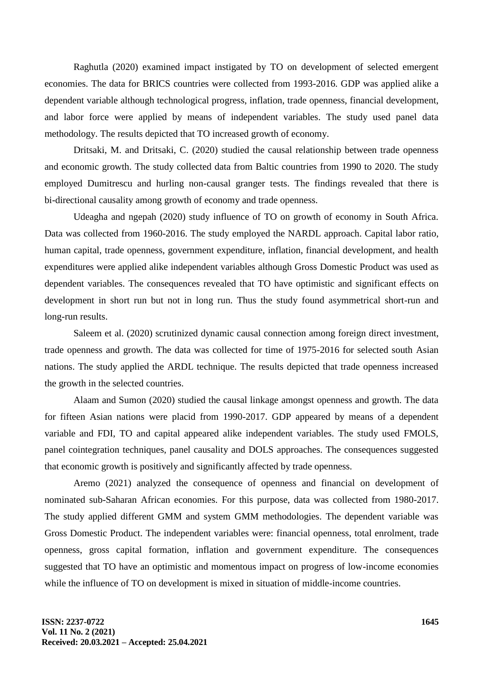Raghutla (2020) examined impact instigated by TO on development of selected emergent economies. The data for BRICS countries were collected from 1993-2016. GDP was applied alike a dependent variable although technological progress, inflation, trade openness, financial development, and labor force were applied by means of independent variables. The study used panel data methodology. The results depicted that TO increased growth of economy.

Dritsaki, M. and Dritsaki, C. (2020) studied the causal relationship between trade openness and economic growth. The study collected data from Baltic countries from 1990 to 2020. The study employed Dumitrescu and hurling non-causal granger tests. The findings revealed that there is bi-directional causality among growth of economy and trade openness.

Udeagha and ngepah (2020) study influence of TO on growth of economy in South Africa. Data was collected from 1960-2016. The study employed the NARDL approach. Capital labor ratio, human capital, trade openness, government expenditure, inflation, financial development, and health expenditures were applied alike independent variables although Gross Domestic Product was used as dependent variables. The consequences revealed that TO have optimistic and significant effects on development in short run but not in long run. Thus the study found asymmetrical short-run and long-run results.

Saleem et al. (2020) scrutinized dynamic causal connection among foreign direct investment, trade openness and growth. The data was collected for time of 1975-2016 for selected south Asian nations. The study applied the ARDL technique. The results depicted that trade openness increased the growth in the selected countries.

Alaam and Sumon (2020) studied the causal linkage amongst openness and growth. The data for fifteen Asian nations were placid from 1990-2017. GDP appeared by means of a dependent variable and FDI, TO and capital appeared alike independent variables. The study used FMOLS, panel cointegration techniques, panel causality and DOLS approaches. The consequences suggested that economic growth is positively and significantly affected by trade openness.

Aremo (2021) analyzed the consequence of openness and financial on development of nominated sub-Saharan African economies. For this purpose, data was collected from 1980-2017. The study applied different GMM and system GMM methodologies. The dependent variable was Gross Domestic Product. The independent variables were: financial openness, total enrolment, trade openness, gross capital formation, inflation and government expenditure. The consequences suggested that TO have an optimistic and momentous impact on progress of low-income economies while the influence of TO on development is mixed in situation of middle-income countries.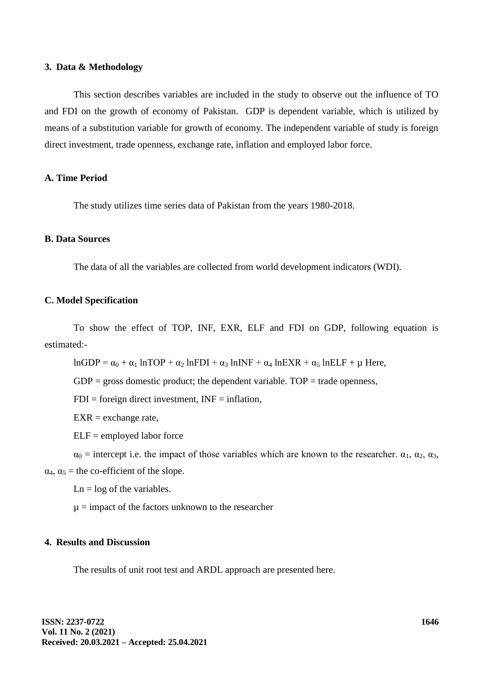#### **3. Data & Methodology**

This section describes variables are included in the study to observe out the influence of TO and FDI on the growth of economy of Pakistan. GDP is dependent variable, which is utilized by means of a substitution variable for growth of economy. The independent variable of study is foreign direct investment, trade openness, exchange rate, inflation and employed labor force.

### **A. Time Period**

The study utilizes time series data of Pakistan from the years 1980-2018.

### **B. Data Sources**

The data of all the variables are collected from world development indicators (WDI).

### **C. Model Specification**

To show the effect of TOP, INF, EXR, ELF and FDI on GDP, following equation is estimated:-

lnGDP =  $\alpha_0$  +  $\alpha_1$  lnTOP +  $\alpha_2$  lnFDI +  $\alpha_3$  lnINF +  $\alpha_4$  lnEXR +  $\alpha_5$  lnELF +  $\mu$  Here,

 $GDP =$  gross domestic product; the dependent variable.  $TOP =$  trade openness,

 $FDI = foreign direct investment, INF = inflation,$ 

 $EXR =$  exchange rate,

 $ELF =$  employed labor force

 $\alpha_0$  = intercept i.e. the impact of those variables which are known to the researcher.  $\alpha_1$ ,  $\alpha_2$ ,  $\alpha_3$ ,  $\alpha_4$ ,  $\alpha_5$  = the co-efficient of the slope.

 $Ln = log of the variables.$ 

 $\mu$  = impact of the factors unknown to the researcher

# **4. Results and Discussion**

The results of unit root test and ARDL approach are presented here.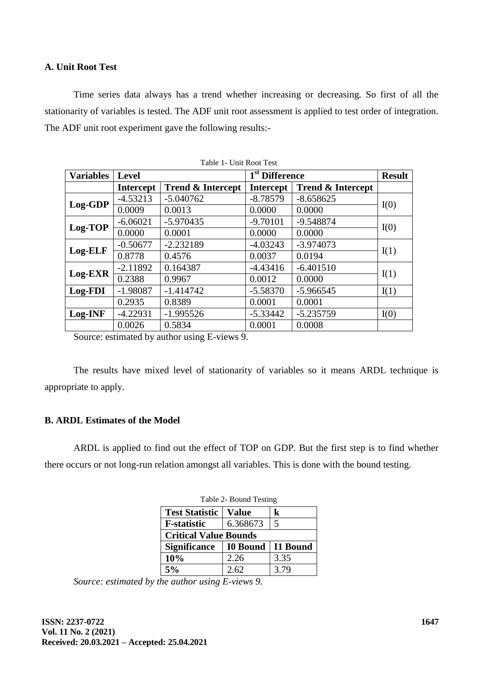# **A. Unit Root Test**

Time series data always has a trend whether increasing or decreasing. So first of all the stationarity of variables is tested. The ADF unit root assessment is applied to test order of integration. The ADF unit root experiment gave the following results:-

| <b>Variables</b> | <b>Level</b>     |                              | 1 <sup>st</sup> Difference |                              | <b>Result</b> |  |
|------------------|------------------|------------------------------|----------------------------|------------------------------|---------------|--|
|                  | <b>Intercept</b> | <b>Trend &amp; Intercept</b> | <b>Intercept</b>           | <b>Trend &amp; Intercept</b> |               |  |
| Log-GDP          | $-4.53213$       | $-5.040762$                  | $-8.78579$                 | $-8.658625$                  | I(0)          |  |
|                  | 0.0009           | 0.0013                       | 0.0000                     | 0.0000                       |               |  |
| Log-TOP          | $-6.06021$       | $-5.970435$                  | $-9.70101$                 | -9.548874                    | I(0)          |  |
|                  | 0.0000           | 0.0001                       | 0.0000                     | 0.0000                       |               |  |
| Log-ELF          | $-0.50677$       | $-2.232189$                  | $-4.03243$                 | $-3.974073$                  | I(1)          |  |
|                  | 0.8778           | 0.4576                       | 0.0037                     | 0.0194                       |               |  |
| Log-EXR          | $-2.11892$       | 0.164387                     | $-4.43416$                 | $-6.401510$                  |               |  |
|                  | 0.2388           | 0.9967                       | 0.0012                     | 0.0000                       | I(1)          |  |
| Log-FDI          | $-1.98087$       | $-1.414742$                  | $-5.58370$                 | $-5.966545$                  | I(1)          |  |
|                  | 0.2935           | 0.8389                       | 0.0001                     | 0.0001                       |               |  |
| Log-INF          | $-4.22931$       | $-1.995526$                  | $-5.33442$                 | $-5.235759$                  | I(0)          |  |
|                  | 0.0026           | 0.5834                       | 0.0001                     | 0.0008                       |               |  |

Source: estimated by author using E-views 9.

The results have mixed level of stationarity of variables so it means ARDL technique is appropriate to apply.

# **B. ARDL Estimates of the Model**

ARDL is applied to find out the effect of TOP on GDP. But the first step is to find whether there occurs or not long-run relation amongst all variables. This is done with the bound testing.

| Table 2- Bound Testing       |                 |          |  |  |  |  |  |
|------------------------------|-----------------|----------|--|--|--|--|--|
| <b>Test Statistic</b>        | Value           | k        |  |  |  |  |  |
| <b>F</b> -statistic          | 6.368673        | 5        |  |  |  |  |  |
| <b>Critical Value Bounds</b> |                 |          |  |  |  |  |  |
| <b>Significance</b>          | <b>I0 Bound</b> | I1 Bound |  |  |  |  |  |
| 10%                          | 2.26            | 3.35     |  |  |  |  |  |
| 5%                           | 2.62.           | 3.79     |  |  |  |  |  |

*Source: estimated by the author using E-views 9.*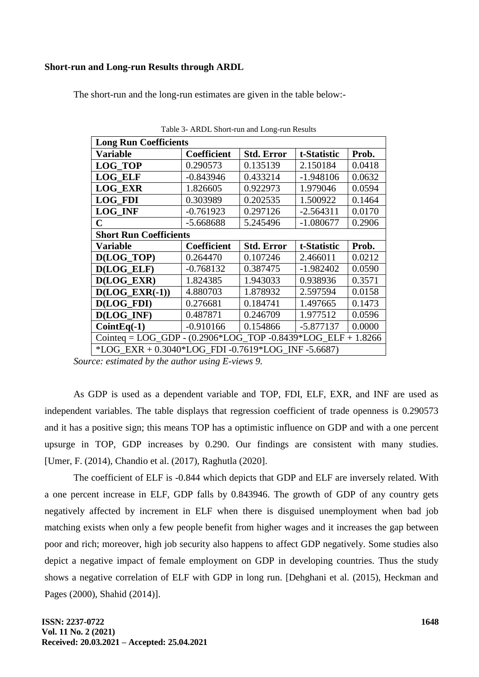# **Short-run and Long-run Results through ARDL**

The short-run and the long-run estimates are given in the table below:-

| <b>Long Run Coefficients</b>                                        |                    |                   |             |        |  |  |  |  |
|---------------------------------------------------------------------|--------------------|-------------------|-------------|--------|--|--|--|--|
| Variable                                                            | <b>Coefficient</b> | <b>Std. Error</b> | t-Statistic | Prob.  |  |  |  |  |
| <b>LOG TOP</b>                                                      | 0.290573           | 0.135139          | 2.150184    | 0.0418 |  |  |  |  |
| <b>LOG ELF</b>                                                      | $-0.843946$        | 0.433214          | $-1.948106$ | 0.0632 |  |  |  |  |
| <b>LOG EXR</b>                                                      | 1.826605           | 0.922973          | 1.979046    | 0.0594 |  |  |  |  |
| <b>LOG FDI</b>                                                      | 0.303989           | 0.202535          | 1.500922    | 0.1464 |  |  |  |  |
| <b>LOG INF</b>                                                      | $-0.761923$        | 0.297126          | $-2.564311$ | 0.0170 |  |  |  |  |
| $\mathbf C$                                                         | -5.668688          | 5.245496          | $-1.080677$ | 0.2906 |  |  |  |  |
| <b>Short Run Coefficients</b>                                       |                    |                   |             |        |  |  |  |  |
| <b>Variable</b>                                                     | <b>Coefficient</b> | <b>Std. Error</b> | t-Statistic | Prob.  |  |  |  |  |
| D(LOG TOP)                                                          | 0.264470           | 0.107246          | 2.466011    | 0.0212 |  |  |  |  |
| D(LOG ELF)                                                          | $-0.768132$        | 0.387475          | $-1.982402$ | 0.0590 |  |  |  |  |
| D(LOG EXR)                                                          | 1.824385           | 1.943033          | 0.938936    | 0.3571 |  |  |  |  |
| $D(LOG\_EXR(-1))$                                                   | 4.880703           | 1.878932          | 2.597594    | 0.0158 |  |  |  |  |
| D(LOG FDI)                                                          | 0.276681           | 0.184741          | 1.497665    | 0.1473 |  |  |  |  |
| D(LOG_INF)                                                          | 0.487871           | 0.246709          | 1.977512    | 0.0596 |  |  |  |  |
| $CointEq(-1)$                                                       | $-0.910166$        | 0.154866          | -5.877137   | 0.0000 |  |  |  |  |
| Cointeq = $LOG_GDP - (0.2906 * LOG_TOP - 0.8439 * LOG_ELF + 1.8266$ |                    |                   |             |        |  |  |  |  |
| *LOG EXR + $0.3040*$ LOG FDI -0.7619*LOG INF -5.6687)               |                    |                   |             |        |  |  |  |  |

Table 3- ARDL Short-run and Long-run Results

As GDP is used as a dependent variable and TOP, FDI, ELF, EXR, and INF are used as independent variables. The table displays that regression coefficient of trade openness is 0.290573 and it has a positive sign; this means TOP has a optimistic influence on GDP and with a one percent upsurge in TOP, GDP increases by 0.290. Our findings are consistent with many studies. [Umer, F. (2014), Chandio et al. (2017), Raghutla (2020].

The coefficient of ELF is -0.844 which depicts that GDP and ELF are inversely related. With a one percent increase in ELF, GDP falls by 0.843946. The growth of GDP of any country gets negatively affected by increment in ELF when there is disguised unemployment when bad job matching exists when only a few people benefit from higher wages and it increases the gap between poor and rich; moreover, high job security also happens to affect GDP negatively. Some studies also depict a negative impact of female employment on GDP in developing countries. Thus the study shows a negative correlation of ELF with GDP in long run. [Dehghani et al. (2015), Heckman and Pages (2000), Shahid (2014)].

*Source: estimated by the author using E-views 9.*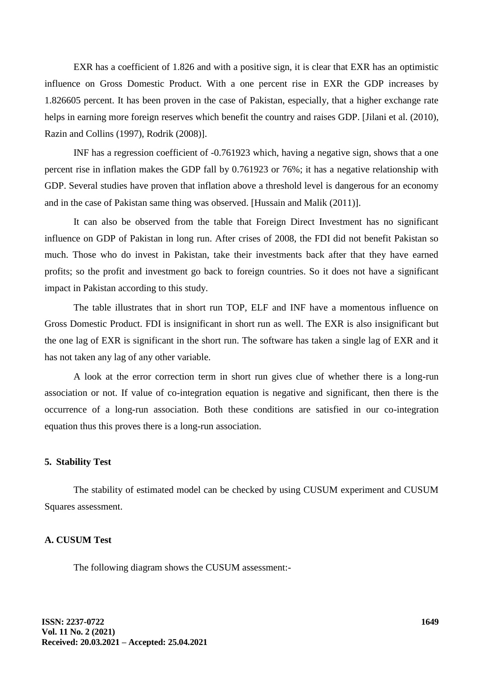EXR has a coefficient of 1.826 and with a positive sign, it is clear that EXR has an optimistic influence on Gross Domestic Product. With a one percent rise in EXR the GDP increases by 1.826605 percent. It has been proven in the case of Pakistan, especially, that a higher exchange rate helps in earning more foreign reserves which benefit the country and raises GDP. [Jilani et al. (2010), Razin and Collins (1997), Rodrik (2008)].

INF has a regression coefficient of -0.761923 which, having a negative sign, shows that a one percent rise in inflation makes the GDP fall by 0.761923 or 76%; it has a negative relationship with GDP. Several studies have proven that inflation above a threshold level is dangerous for an economy and in the case of Pakistan same thing was observed. [Hussain and Malik (2011)].

It can also be observed from the table that Foreign Direct Investment has no significant influence on GDP of Pakistan in long run. After crises of 2008, the FDI did not benefit Pakistan so much. Those who do invest in Pakistan, take their investments back after that they have earned profits; so the profit and investment go back to foreign countries. So it does not have a significant impact in Pakistan according to this study.

The table illustrates that in short run TOP, ELF and INF have a momentous influence on Gross Domestic Product. FDI is insignificant in short run as well. The EXR is also insignificant but the one lag of EXR is significant in the short run. The software has taken a single lag of EXR and it has not taken any lag of any other variable.

A look at the error correction term in short run gives clue of whether there is a long-run association or not. If value of co-integration equation is negative and significant, then there is the occurrence of a long-run association. Both these conditions are satisfied in our co-integration equation thus this proves there is a long-run association.

### **5. Stability Test**

The stability of estimated model can be checked by using CUSUM experiment and CUSUM Squares assessment.

### **A. CUSUM Test**

The following diagram shows the CUSUM assessment:-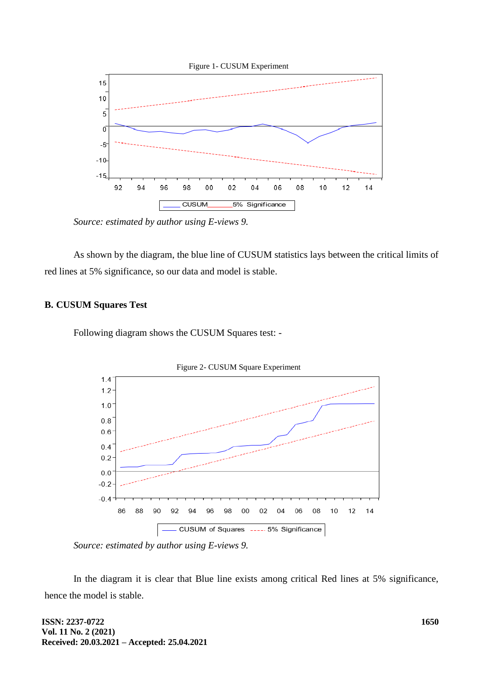

*Source: estimated by author using E-views 9.*

As shown by the diagram, the blue line of CUSUM statistics lays between the critical limits of red lines at 5% significance, so our data and model is stable.

## **B. CUSUM Squares Test**

Following diagram shows the CUSUM Squares test: -



*Source: estimated by author using E-views 9.*

In the diagram it is clear that Blue line exists among critical Red lines at 5% significance, hence the model is stable.

**ISSN: 2237-0722 Vol. 11 No. 2 (2021) Received: 20.03.2021 – Accepted: 25.04.2021**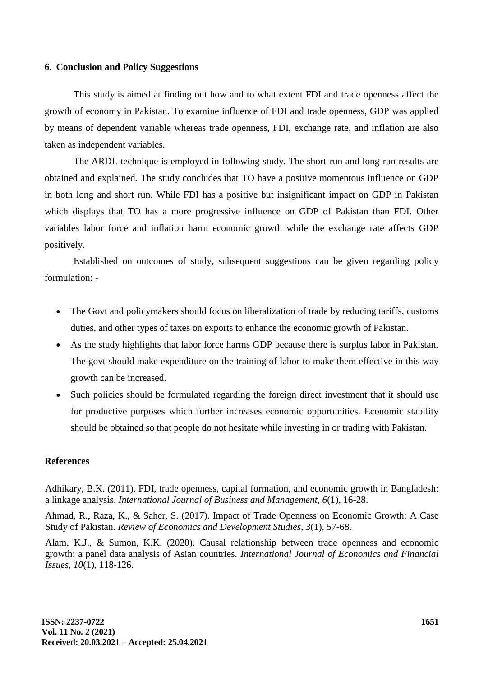### **6. Conclusion and Policy Suggestions**

This study is aimed at finding out how and to what extent FDI and trade openness affect the growth of economy in Pakistan. To examine influence of FDI and trade openness, GDP was applied by means of dependent variable whereas trade openness, FDI, exchange rate, and inflation are also taken as independent variables.

The ARDL technique is employed in following study. The short-run and long-run results are obtained and explained. The study concludes that TO have a positive momentous influence on GDP in both long and short run. While FDI has a positive but insignificant impact on GDP in Pakistan which displays that TO has a more progressive influence on GDP of Pakistan than FDI. Other variables labor force and inflation harm economic growth while the exchange rate affects GDP positively.

Established on outcomes of study, subsequent suggestions can be given regarding policy formulation: -

- The Govt and policymakers should focus on liberalization of trade by reducing tariffs, customs duties, and other types of taxes on exports to enhance the economic growth of Pakistan.
- As the study highlights that labor force harms GDP because there is surplus labor in Pakistan. The govt should make expenditure on the training of labor to make them effective in this way growth can be increased.
- Such policies should be formulated regarding the foreign direct investment that it should use for productive purposes which further increases economic opportunities. Economic stability should be obtained so that people do not hesitate while investing in or trading with Pakistan.

# **References**

Adhikary, B.K. (2011). FDI, trade openness, capital formation, and economic growth in Bangladesh: a linkage analysis. *International Journal of Business and Management, 6*(1), 16-28.

Ahmad, R., Raza, K., & Saher, S. (2017). Impact of Trade Openness on Economic Growth: A Case Study of Pakistan. *Review of Economics and Development Studies, 3*(1), 57-68.

Alam, K.J., & Sumon, K.K. (2020). Causal relationship between trade openness and economic growth: a panel data analysis of Asian countries. *International Journal of Economics and Financial Issues, 10*(1), 118-126.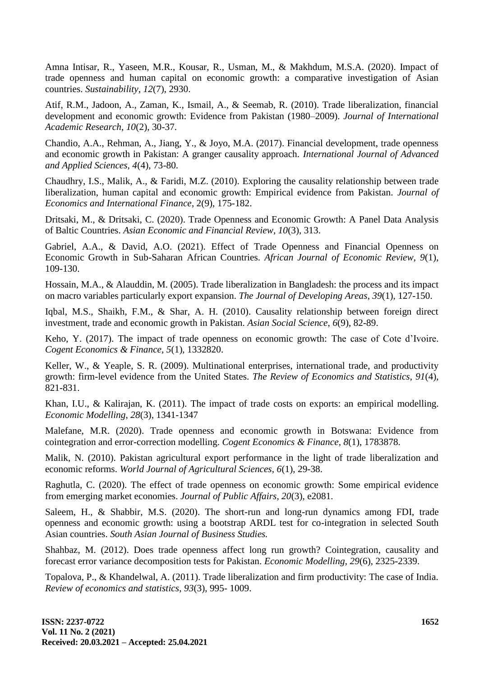Amna Intisar, R., Yaseen, M.R., Kousar, R., Usman, M., & Makhdum, M.S.A. (2020). Impact of trade openness and human capital on economic growth: a comparative investigation of Asian countries. *Sustainability, 12*(7), 2930.

Atif, R.M., Jadoon, A., Zaman, K., Ismail, A., & Seemab, R. (2010). Trade liberalization, financial development and economic growth: Evidence from Pakistan (1980–2009). *Journal of International Academic Research*, *10*(2), 30-37.

Chandio, A.A., Rehman, A., Jiang, Y., & Joyo, M.A. (2017). Financial development, trade openness and economic growth in Pakistan: A granger causality approach. *International Journal of Advanced and Applied Sciences, 4*(4), 73-80.

Chaudhry, I.S., Malik, A., & Faridi, M.Z. (2010). Exploring the causality relationship between trade liberalization, human capital and economic growth: Empirical evidence from Pakistan. *Journal of Economics and International Finance*, 2(9), 175-182.

Dritsaki, M., & Dritsaki, C. (2020). Trade Openness and Economic Growth: A Panel Data Analysis of Baltic Countries. *Asian Economic and Financial Review, 10*(3), 313.

Gabriel, A.A., & David, A.O. (2021). Effect of Trade Openness and Financial Openness on Economic Growth in Sub-Saharan African Countries. *African Journal of Economic Review, 9*(1), 109-130.

Hossain, M.A., & Alauddin, M. (2005). Trade liberalization in Bangladesh: the process and its impact on macro variables particularly export expansion. *The Journal of Developing Areas*, *39*(1), 127-150.

Iqbal, M.S., Shaikh, F.M., & Shar, A. H. (2010). Causality relationship between foreign direct investment, trade and economic growth in Pakistan. *Asian Social Science*, *6*(9), 82-89.

Keho, Y. (2017). The impact of trade openness on economic growth: The case of Cote d'Ivoire. *Cogent Economics & Finance, 5*(1), 1332820.

Keller, W., & Yeaple, S. R. (2009). Multinational enterprises, international trade, and productivity growth: firm-level evidence from the United States. *The Review of Economics and Statistics*, *91*(4), 821-831.

Khan, I.U., & Kalirajan, K. (2011). The impact of trade costs on exports: an empirical modelling. *Economic Modelling*, *28*(3), 1341-1347

Malefane, M.R. (2020). Trade openness and economic growth in Botswana: Evidence from cointegration and error-correction modelling. *Cogent Economics & Finance, 8*(1), 1783878.

Malik, N. (2010). Pakistan agricultural export performance in the light of trade liberalization and economic reforms. *World Journal of Agricultural Sciences*, *6*(1), 29-38.

Raghutla, C. (2020). The effect of trade openness on economic growth: Some empirical evidence from emerging market economies. *Journal of Public Affairs, 20*(3), e2081.

Saleem, H., & Shabbir, M.S. (2020). The short-run and long-run dynamics among FDI, trade openness and economic growth: using a bootstrap ARDL test for co-integration in selected South Asian countries. *South Asian Journal of Business Studies.*

Shahbaz, M. (2012). Does trade openness affect long run growth? Cointegration, causality and forecast error variance decomposition tests for Pakistan. *Economic Modelling*, *29*(6), 2325-2339.

Topalova, P., & Khandelwal, A. (2011). Trade liberalization and firm productivity: The case of India. *Review of economics and statistics*, *93*(3), 995- 1009.